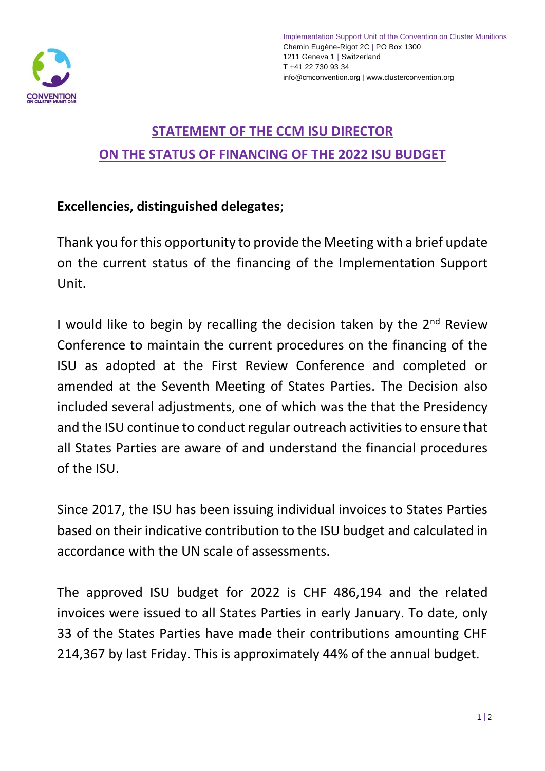

## **STATEMENT OF THE CCM ISU DIRECTOR ON THE STATUS OF FINANCING OF THE 2022 ISU BUDGET**

## **Excellencies, distinguished delegates**;

Thank you for this opportunity to provide the Meeting with a brief update on the current status of the financing of the Implementation Support Unit.

I would like to begin by recalling the decision taken by the  $2<sup>nd</sup>$  Review Conference to maintain the current procedures on the financing of the ISU as adopted at the First Review Conference and completed or amended at the Seventh Meeting of States Parties. The Decision also included several adjustments, one of which was the that the Presidency and the ISU continue to conduct regular outreach activities to ensure that all States Parties are aware of and understand the financial procedures of the ISU.

Since 2017, the ISU has been issuing individual invoices to States Parties based on their indicative contribution to the ISU budget and calculated in accordance with the UN scale of assessments.

The approved ISU budget for 2022 is CHF 486,194 and the related invoices were issued to all States Parties in early January. To date, only 33 of the States Parties have made their contributions amounting CHF 214,367 by last Friday. This is approximately 44% of the annual budget.